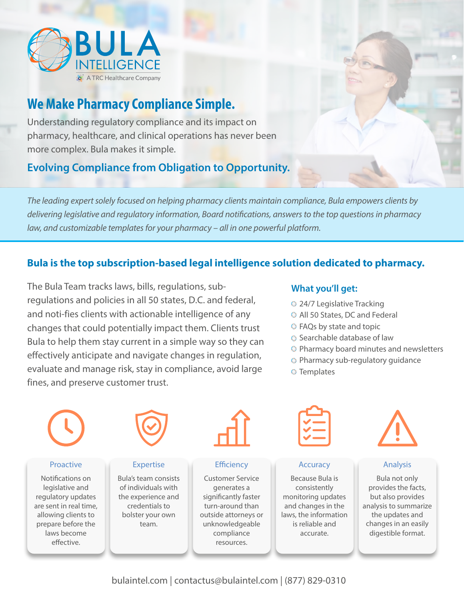

# **We Make Pharmacy Compliance Simple.**

Understanding regulatory compliance and its impact on pharmacy, healthcare, and clinical operations has never been more complex. Bula makes it simple.

# **Evolving Compliance from Obligation to Opportunity.**

*The leading expert solely focused on helping pharmacy clients maintain compliance, Bula empowers clients by delivering legislative and regulatory information, Board notifcations, answers to the top questions in pharmacy law, and customizable templates for your pharmacy – all in one powerful platform.*

## **Bula is the top subscription-based legal intelligence solution dedicated to pharmacy.**

The Bula Team tracks laws, bills, regulations, subregulations and policies in all 50 states, D.C. and federal, and noti-fies clients with actionable intelligence of any changes that could potentially impact them. Clients trust Bula to help them stay current in a simple way so they can effectively anticipate and navigate changes in regulation, evaluate and manage risk, stay in compliance, avoid large fines, and preserve customer trust.

#### **What you'll get:**

- <sup>24/7</sup> Legislative Tracking
- All 50 States, DC and Federal
- FAQs by state and topic
- Searchable database of law
- Pharmacy board minutes and newsletters
- Pharmacy sub-regulatory guidance
- **S** Templates



bulaintel.com | contactus@bulaintel.com | (877) 829-0310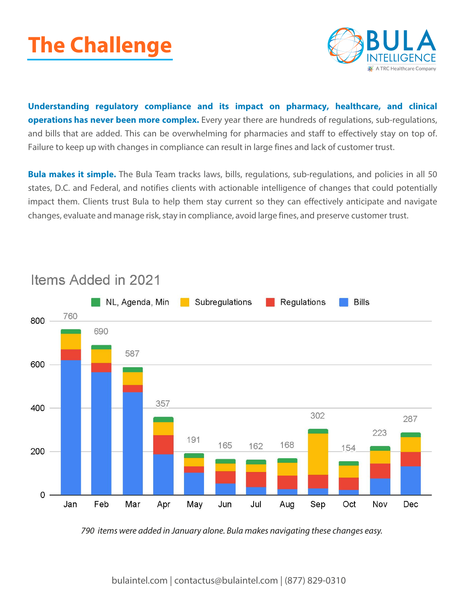



**Understanding regulatory compliance and its impact on pharmacy, healthcare, and clinical operations has never been more complex.** Every year there are hundreds of regulations, sub-regulations, and bills that are added. This can be overwhelming for pharmacies and staff to effectively stay on top of. Failure to keep up with changes in compliance can result in large fines and lack of customer trust.

**Bula makes it simple.** The Bula Team tracks laws, bills, regulations, sub-regulations, and policies in all 50 states, D.C. and Federal, and notifies clients with actionable intelligence of changes that could potentially impact them. Clients trust Bula to help them stay current so they can effectively anticipate and navigate changes, evaluate and manage risk, stay in compliance, avoid large fines, and preserve customer trust.



# Items Added in 2021

790 items were added in January alone. Bula makes navigating these changes easy.

bulaintel.com | contactus@bulaintel.com | (877) 829-0310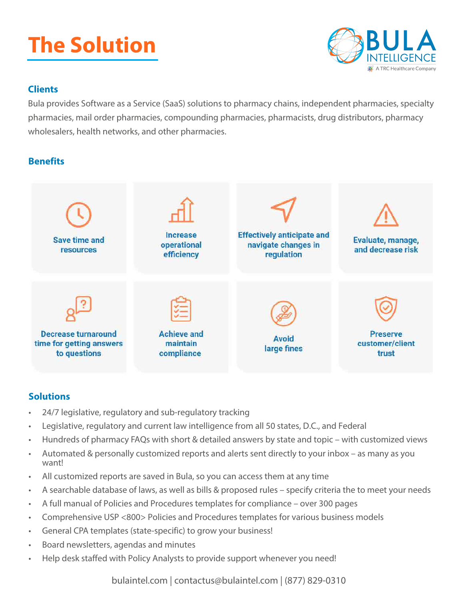# **The Solution**



### **Clients**

Bula provides Software as a Service (SaaS) solutions to pharmacy chains, independent pharmacies, specialty pharmacies, mail order pharmacies, compounding pharmacies, pharmacists, drug distributors, pharmacy wholesalers, health networks, and other pharmacies.

## **Benefits**



### **Solutions**

- 24/7 legislative, regulatory and sub-regulatory tracking
- Legislative, regulatory and current law intelligence from all 50 states, D.C., and Federal
- Hundreds of pharmacy FAQs with short & detailed answers by state and topic with customized views
- Automated & personally customized reports and alerts sent directly to your inbox as many as you want!
- All customized reports are saved in Bula, so you can access them at any time
- A searchable database of laws, as well as bills & proposed rules specify criteria the to meet your needs
- A full manual of Policies and Procedures templates for compliance over 300 pages
- Comprehensive USP <800> Policies and Procedures templates for various business models
- General CPA templates (state-specific) to grow your business!
- Board newsletters, agendas and minutes
- Help desk staffed with Policy Analysts to provide support whenever you need!

bulaintel.com | contactus@bulaintel.com | (877) 829-0310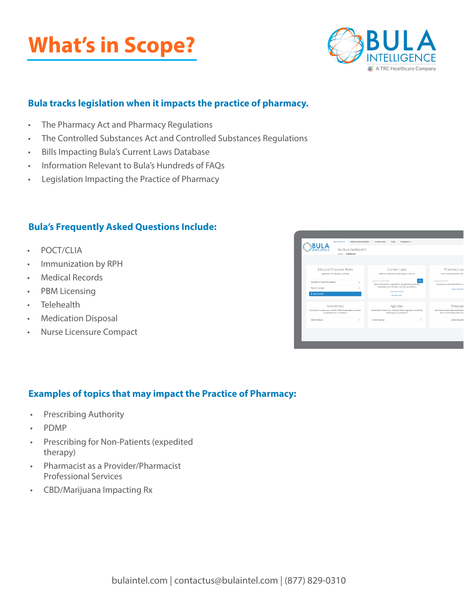# **What's in Scope?**



### **Bula tracks legislation when it impacts the practice of pharmacy.**

- The Pharmacy Act and Pharmacy Regulations
- The Controlled Substances Act and Controlled Substances Regulations
- Bills Impacting Bula's Current Laws Database
- Information Relevant to Bula's Hundreds of FAQs
- Legislation Impacting the Practice of Pharmacy

### **Bula's Frequently Asked Questions Include:**

- POCT/CLIA
- Immunization by RPH
- Medical Records
- PBM Licensing
- Telehealth
- Medication Disposal
- Nurse Licensure Compact



### **Examples of topics that may impact the Practice of Pharmacy:**

- Prescribing Authority
- PDMP
- Prescribing for Non-Patients (expedited therapy)
- Pharmacist as a Provider/Pharmacist Professional Services
- CBD/Marijuana Impacting Rx